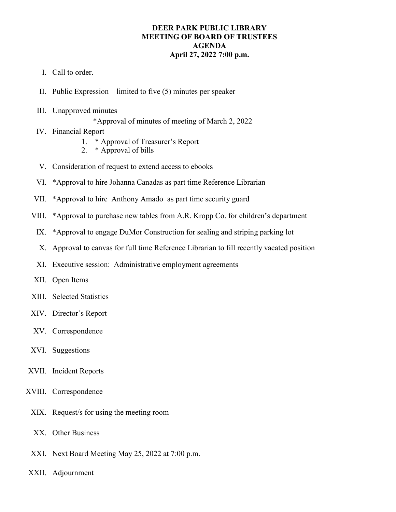## **DEER PARK PUBLIC LIBRARY MEETING OF BOARD OF TRUSTEES AGENDA April 27, 2022 7:00 p.m.**

- I. Call to order.
- II. Public Expression limited to five (5) minutes per speaker
- III. Unapproved minutes

\*Approval of minutes of meeting of March 2, 2022

- IV. Financial Report
	- 1. \* Approval of Treasurer's Report
	- 2. \* Approval of bills
- V. Consideration of request to extend access to ebooks
- VI. \*Approval to hire Johanna Canadas as part time Reference Librarian
- VII. \*Approval to hire Anthony Amado as part time security guard
- VIII. \*Approval to purchase new tables from A.R. Kropp Co. for children's department
	- IX. \*Approval to engage DuMor Construction for sealing and striping parking lot
	- X. Approval to canvas for full time Reference Librarian to fill recently vacated position
- XI. Executive session: Administrative employment agreements
- XII. Open Items
- XIII. Selected Statistics
- XIV. Director's Report
- XV. Correspondence
- XVI. Suggestions
- XVII. Incident Reports
- XVIII. Correspondence
	- XIX. Request/s for using the meeting room
	- XX. Other Business
	- XXI. Next Board Meeting May 25, 2022 at 7:00 p.m.
- XXII. Adjournment